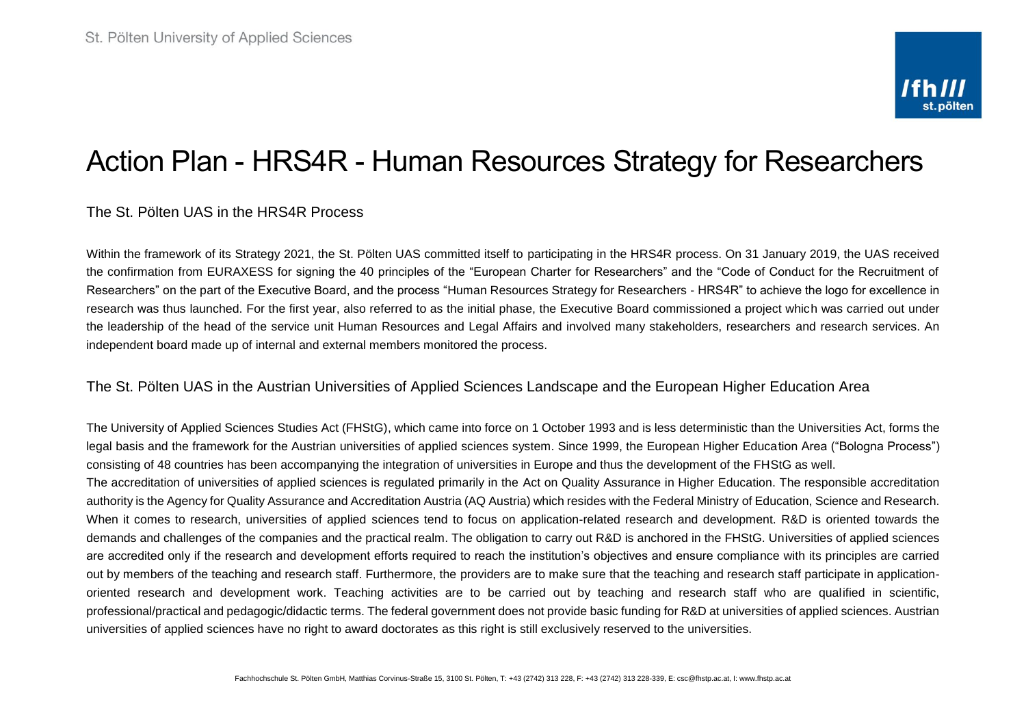# Action Plan - HRS4R - Human Resources Strategy for Researchers

### The St. Pölten UAS in the HRS4R Process

Within the framework of its Strategy 2021, the St. Pölten UAS committed itself to participating in the HRS4R process. On 31 January 2019, the UAS received the confirmation from EURAXESS for signing the 40 principles of the "European Charter for Researchers" and the "Code of Conduct for the Recruitment of Researchers" on the part of the Executive Board, and the process "Human Resources Strategy for Researchers - HRS4R" to achieve the logo for excellence in research was thus launched. For the first year, also referred to as the initial phase, the Executive Board commissioned a project which was carried out under the leadership of the head of the service unit Human Resources and Legal Affairs and involved many stakeholders, researchers and research services. An independent board made up of internal and external members monitored the process.

#### The St. Pölten UAS in the Austrian Universities of Applied Sciences Landscape and the European Higher Education Area

The University of Applied Sciences Studies Act (FHStG), which came into force on 1 October 1993 and is less deterministic than the Universities Act, forms the legal basis and the framework for the Austrian universities of applied sciences system. Since 1999, the European Higher Education Area ("Bologna Process") consisting of 48 countries has been accompanying the integration of universities in Europe and thus the development of the FHStG as well.

The accreditation of universities of applied sciences is regulated primarily in the Act on Quality Assurance in Higher Education. The responsible accreditation authority is the Agency for Quality Assurance and Accreditation Austria (AQ Austria) which resides with the Federal Ministry of Education, Science and Research. When it comes to research, universities of applied sciences tend to focus on application-related research and development. R&D is oriented towards the demands and challenges of the companies and the practical realm. The obligation to carry out R&D is anchored in the FHStG. Universities of applied sciences are accredited only if the research and development efforts required to reach the institution's objectives and ensure compliance with its principles are carried out by members of the teaching and research staff. Furthermore, the providers are to make sure that the teaching and research staff participate in applicationoriented research and development work. Teaching activities are to be carried out by teaching and research staff who are qualified in scientific, professional/practical and pedagogic/didactic terms. The federal government does not provide basic funding for R&D at universities of applied sciences. Austrian universities of applied sciences have no right to award doctorates as this right is still exclusively reserved to the universities.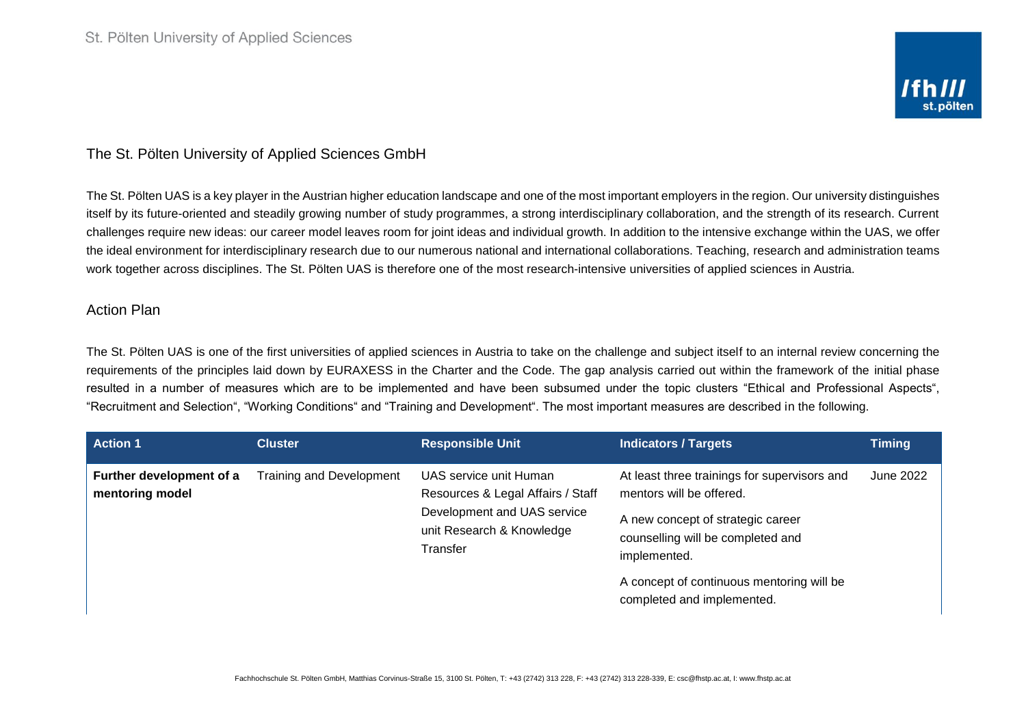## The St. Pölten University of Applied Sciences GmbH

The St. Pölten UAS is a key player in the Austrian higher education landscape and one of the most important employers in the region. Our university distinguishes itself by its future-oriented and steadily growing number of study programmes, a strong interdisciplinary collaboration, and the strength of its research. Current challenges require new ideas: our career model leaves room for joint ideas and individual growth. In addition to the intensive exchange within the UAS, we offer the ideal environment for interdisciplinary research due to our numerous national and international collaborations. Teaching, research and administration teams work together across disciplines. The St. Pölten UAS is therefore one of the most research-intensive universities of applied sciences in Austria.

#### Action Plan

The St. Pölten UAS is one of the first universities of applied sciences in Austria to take on the challenge and subject itself to an internal review concerning the requirements of the principles laid down by EURAXESS in the Charter and the Code. The gap analysis carried out within the framework of the initial phase resulted in a number of measures which are to be implemented and have been subsumed under the topic clusters "Ethical and Professional Aspects", "Recruitment and Selection", "Working Conditions" and "Training and Development". The most important measures are described in the following.

| <b>Action 1</b>                             | <b>Cluster</b>                  | <b>Responsible Unit</b>                                                                                                             | <b>Indicators / Targets</b>                                                                                                                                                                                                                   | <b>Timing</b> |
|---------------------------------------------|---------------------------------|-------------------------------------------------------------------------------------------------------------------------------------|-----------------------------------------------------------------------------------------------------------------------------------------------------------------------------------------------------------------------------------------------|---------------|
| Further development of a<br>mentoring model | <b>Training and Development</b> | UAS service unit Human<br>Resources & Legal Affairs / Staff<br>Development and UAS service<br>unit Research & Knowledge<br>Transfer | At least three trainings for supervisors and<br>mentors will be offered.<br>A new concept of strategic career<br>counselling will be completed and<br>implemented.<br>A concept of continuous mentoring will be<br>completed and implemented. | June 2022     |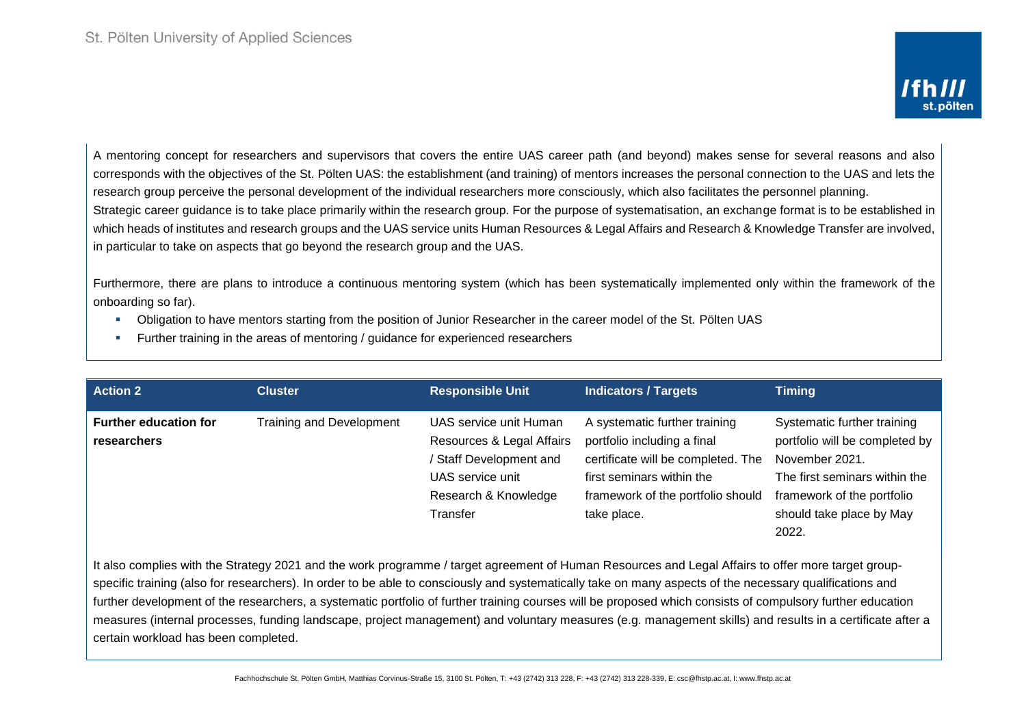A mentoring concept for researchers and supervisors that covers the entire UAS career path (and beyond) makes sense for several reasons and also corresponds with the objectives of the St. Pölten UAS: the establishment (and training) of mentors increases the personal connection to the UAS and lets the research group perceive the personal development of the individual researchers more consciously, which also facilitates the personnel planning. Strategic career guidance is to take place primarily within the research group. For the purpose of systematisation, an exchange format is to be established in which heads of institutes and research groups and the UAS service units Human Resources & Legal Affairs and Research & Knowledge Transfer are involved, in particular to take on aspects that go beyond the research group and the UAS.

Furthermore, there are plans to introduce a continuous mentoring system (which has been systematically implemented only within the framework of the onboarding so far).

- Obligation to have mentors starting from the position of Junior Researcher in the career model of the St. Pölten UAS
- Further training in the areas of mentoring / guidance for experienced researchers

| <b>Action 2</b>              | <b>Cluster</b>                  | <b>Responsible Unit</b>   | <b>Indicators / Targets</b>        | <b>Timing</b>                  |
|------------------------------|---------------------------------|---------------------------|------------------------------------|--------------------------------|
| <b>Further education for</b> | <b>Training and Development</b> | UAS service unit Human    | A systematic further training      | Systematic further training    |
| <b>researchers</b>           |                                 | Resources & Legal Affairs | portfolio including a final        | portfolio will be completed by |
|                              |                                 | Staff Development and     | certificate will be completed. The | November 2021.                 |
|                              |                                 | UAS service unit          | first seminars within the          | The first seminars within the  |
|                              |                                 | Research & Knowledge      | framework of the portfolio should  | framework of the portfolio     |
|                              |                                 | Transfer                  | take place.                        | should take place by May       |
|                              |                                 |                           |                                    | 2022.                          |

It also complies with the Strategy 2021 and the work programme / target agreement of Human Resources and Legal Affairs to offer more target groupspecific training (also for researchers). In order to be able to consciously and systematically take on many aspects of the necessary qualifications and further development of the researchers, a systematic portfolio of further training courses will be proposed which consists of compulsory further education measures (internal processes, funding landscape, project management) and voluntary measures (e.g. management skills) and results in a certificate after a certain workload has been completed.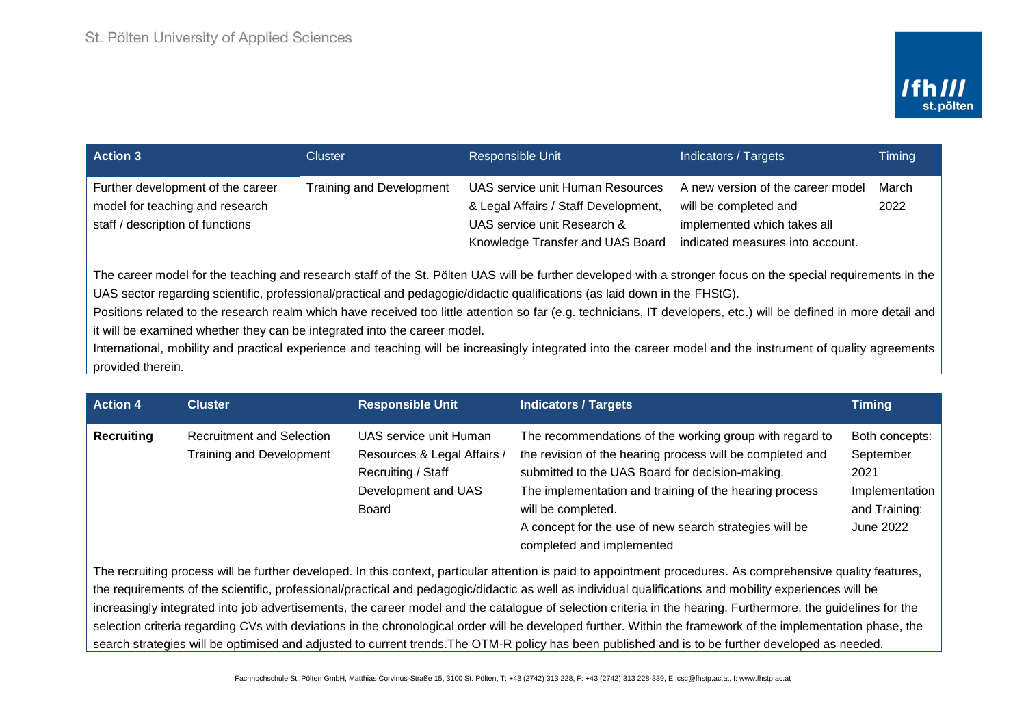| <b>Action 3</b>                                                                                                                                                                                                                                                                                                                                                                                                                                                                                                                                                                                                                                                                                                                     | <b>Cluster</b>                  | Responsible Unit                                                                                                                            | Indicators / Targets                                                                                                          | Timing        |  |  |
|-------------------------------------------------------------------------------------------------------------------------------------------------------------------------------------------------------------------------------------------------------------------------------------------------------------------------------------------------------------------------------------------------------------------------------------------------------------------------------------------------------------------------------------------------------------------------------------------------------------------------------------------------------------------------------------------------------------------------------------|---------------------------------|---------------------------------------------------------------------------------------------------------------------------------------------|-------------------------------------------------------------------------------------------------------------------------------|---------------|--|--|
| Further development of the career<br>model for teaching and research<br>staff / description of functions                                                                                                                                                                                                                                                                                                                                                                                                                                                                                                                                                                                                                            | <b>Training and Development</b> | UAS service unit Human Resources<br>& Legal Affairs / Staff Development,<br>UAS service unit Research &<br>Knowledge Transfer and UAS Board | A new version of the career model<br>will be completed and<br>implemented which takes all<br>indicated measures into account. | March<br>2022 |  |  |
| The career model for the teaching and research staff of the St. Pölten UAS will be further developed with a stronger focus on the special requirements in the<br>UAS sector regarding scientific, professional/practical and pedagogic/didactic qualifications (as laid down in the FHStG).<br>Positions related to the research realm which have received too little attention so far (e.g. technicians, IT developers, etc.) will be defined in more detail and<br>it will be examined whether they can be integrated into the career model.<br>International, mobility and practical experience and teaching will be increasingly integrated into the career model and the instrument of quality agreements<br>provided therein. |                                 |                                                                                                                                             |                                                                                                                               |               |  |  |

| <b>Action 4</b>   | <b>Cluster</b>                                                      | <b>Responsible Unit</b>                                                                                     | <b>Indicators / Targets</b>                                                                                                                                                                                                                                                                                                                    | <b>Timing</b>                                                                       |
|-------------------|---------------------------------------------------------------------|-------------------------------------------------------------------------------------------------------------|------------------------------------------------------------------------------------------------------------------------------------------------------------------------------------------------------------------------------------------------------------------------------------------------------------------------------------------------|-------------------------------------------------------------------------------------|
| <b>Recruiting</b> | <b>Recruitment and Selection</b><br><b>Training and Development</b> | UAS service unit Human<br>Resources & Legal Affairs /<br>Recruiting / Staff<br>Development and UAS<br>Board | The recommendations of the working group with regard to<br>the revision of the hearing process will be completed and<br>submitted to the UAS Board for decision-making.<br>The implementation and training of the hearing process<br>will be completed.<br>A concept for the use of new search strategies will be<br>completed and implemented | Both concepts:<br>September<br>2021<br>Implementation<br>and Training:<br>June 2022 |
|                   |                                                                     |                                                                                                             | The recruiting process will be further developed. In this context, particular attention is paid to appointment procedures. As comprehensive quality features,                                                                                                                                                                                  |                                                                                     |

the requirements of the scientific, professional/practical and pedagogic/didactic as well as individual qualifications and mobility experiences will be increasingly integrated into job advertisements, the career model and the catalogue of selection criteria in the hearing. Furthermore, the guidelines for the selection criteria regarding CVs with deviations in the chronological order will be developed further. Within the framework of the implementation phase, the search strategies will be optimised and adjusted to current trends.The OTM-R policy has been published and is to be further developed as needed.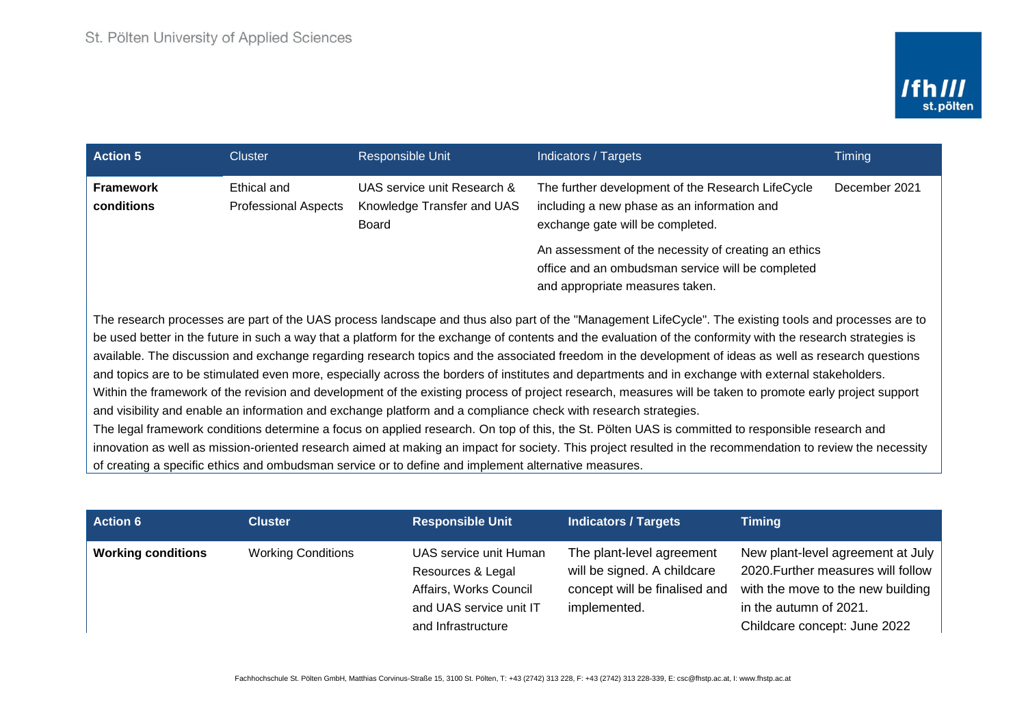| <b>Action 5</b>                                                                                                                                                                                                                                                                                                                                                                                                                                                                                                                                                                                                                                                                                                                                                                                                                                                                                                                                                                                                                                                                                                                                                                                                                                                                                                                                  | Cluster                                    | Responsible Unit                                                   | Indicators / Targets                                                                                                                         | Timing        |  |
|--------------------------------------------------------------------------------------------------------------------------------------------------------------------------------------------------------------------------------------------------------------------------------------------------------------------------------------------------------------------------------------------------------------------------------------------------------------------------------------------------------------------------------------------------------------------------------------------------------------------------------------------------------------------------------------------------------------------------------------------------------------------------------------------------------------------------------------------------------------------------------------------------------------------------------------------------------------------------------------------------------------------------------------------------------------------------------------------------------------------------------------------------------------------------------------------------------------------------------------------------------------------------------------------------------------------------------------------------|--------------------------------------------|--------------------------------------------------------------------|----------------------------------------------------------------------------------------------------------------------------------------------|---------------|--|
| <b>Framework</b><br>conditions                                                                                                                                                                                                                                                                                                                                                                                                                                                                                                                                                                                                                                                                                                                                                                                                                                                                                                                                                                                                                                                                                                                                                                                                                                                                                                                   | Ethical and<br><b>Professional Aspects</b> | UAS service unit Research &<br>Knowledge Transfer and UAS<br>Board | The further development of the Research LifeCycle<br>including a new phase as an information and<br>exchange gate will be completed.         | December 2021 |  |
|                                                                                                                                                                                                                                                                                                                                                                                                                                                                                                                                                                                                                                                                                                                                                                                                                                                                                                                                                                                                                                                                                                                                                                                                                                                                                                                                                  |                                            |                                                                    | An assessment of the necessity of creating an ethics<br>office and an ombudsman service will be completed<br>and appropriate measures taken. |               |  |
| The research processes are part of the UAS process landscape and thus also part of the "Management LifeCycle". The existing tools and processes are to<br>be used better in the future in such a way that a platform for the exchange of contents and the evaluation of the conformity with the research strategies is<br>available. The discussion and exchange regarding research topics and the associated freedom in the development of ideas as well as research questions<br>and topics are to be stimulated even more, especially across the borders of institutes and departments and in exchange with external stakeholders.<br>Within the framework of the revision and development of the existing process of project research, measures will be taken to promote early project support<br>and visibility and enable an information and exchange platform and a compliance check with research strategies.<br>The legal framework conditions determine a focus on applied research. On top of this, the St. Pölten UAS is committed to responsible research and<br>innovation as well as mission-oriented research aimed at making an impact for society. This project resulted in the recommendation to review the necessity<br>of creating a specific ethics and ombudsman service or to define and implement alternative measures. |                                            |                                                                    |                                                                                                                                              |               |  |

| <b>Action 6</b>           | <b>Cluster</b>            | <b>Responsible Unit</b>                                                                                                | Indicators / Targets                                                                                      | <b>Timing</b>                                                                                                                                                          |
|---------------------------|---------------------------|------------------------------------------------------------------------------------------------------------------------|-----------------------------------------------------------------------------------------------------------|------------------------------------------------------------------------------------------------------------------------------------------------------------------------|
| <b>Working conditions</b> | <b>Working Conditions</b> | UAS service unit Human<br>Resources & Legal<br>Affairs, Works Council<br>and UAS service unit IT<br>and Infrastructure | The plant-level agreement<br>will be signed. A childcare<br>concept will be finalised and<br>implemented. | New plant-level agreement at July<br>2020. Further measures will follow<br>with the move to the new building<br>in the autumn of 2021.<br>Childcare concept: June 2022 |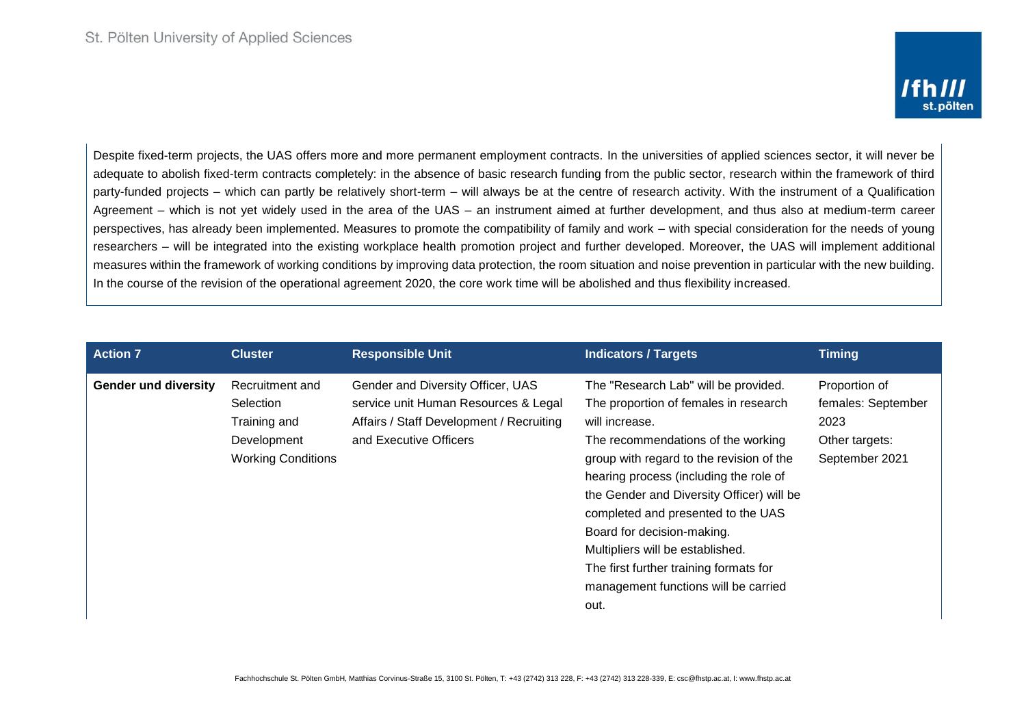Despite fixed-term projects, the UAS offers more and more permanent employment contracts. In the universities of applied sciences sector, it will never be adequate to abolish fixed-term contracts completely: in the absence of basic research funding from the public sector, research within the framework of third party-funded projects – which can partly be relatively short-term – will always be at the centre of research activity. With the instrument of a Qualification Agreement – which is not yet widely used in the area of the UAS – an instrument aimed at further development, and thus also at medium-term career perspectives, has already been implemented. Measures to promote the compatibility of family and work – with special consideration for the needs of young researchers – will be integrated into the existing workplace health promotion project and further developed. Moreover, the UAS will implement additional measures within the framework of working conditions by improving data protection, the room situation and noise prevention in particular with the new building. In the course of the revision of the operational agreement 2020, the core work time will be abolished and thus flexibility increased.

| <b>Responsible Unit</b><br><b>Action 7</b><br><b>Cluster</b>                                                                                                                                                                                                                                         | <b>Indicators / Targets</b>                                                                                                                                                                                                                                                                                                                                                                                                                      | <b>Timing</b>                                                                   |
|------------------------------------------------------------------------------------------------------------------------------------------------------------------------------------------------------------------------------------------------------------------------------------------------------|--------------------------------------------------------------------------------------------------------------------------------------------------------------------------------------------------------------------------------------------------------------------------------------------------------------------------------------------------------------------------------------------------------------------------------------------------|---------------------------------------------------------------------------------|
| Recruitment and<br>Gender and Diversity Officer, UAS<br><b>Gender und diversity</b><br>service unit Human Resources & Legal<br>Selection<br>Affairs / Staff Development / Recruiting<br>Training and<br>will increase.<br>and Executive Officers<br>Development<br><b>Working Conditions</b><br>out. | The "Research Lab" will be provided.<br>The proportion of females in research<br>The recommendations of the working<br>group with regard to the revision of the<br>hearing process (including the role of<br>the Gender and Diversity Officer) will be<br>completed and presented to the UAS<br>Board for decision-making.<br>Multipliers will be established.<br>The first further training formats for<br>management functions will be carried | Proportion of<br>females: September<br>2023<br>Other targets:<br>September 2021 |